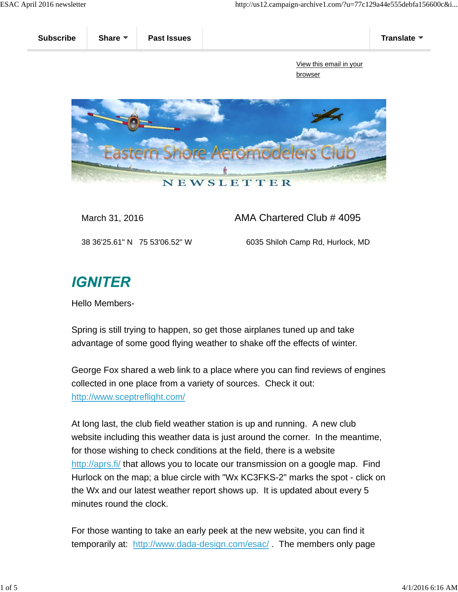

March 31, 2016 **AMA Chartered Club # 4095** 

38 36'25.61" N 75 53'06.52" W 6035 Shiloh Camp Rd, Hurlock, MD

## **IGNITER**

Hello Members-

Spring is still trying to happen, so get those airplanes tuned up and take advantage of some good flying weather to shake off the effects of winter.

George Fox shared a web link to a place where you can find reviews of engines collected in one place from a variety of sources. Check it out: http://www.sceptreflight.com/

At long last, the club field weather station is up and running. A new club website including this weather data is just around the corner. In the meantime, for those wishing to check conditions at the field, there is a website http://aprs.fi/ that allows you to locate our transmission on a google map. Find Hurlock on the map; a blue circle with "Wx KC3FKS-2" marks the spot - click on the Wx and our latest weather report shows up. It is updated about every 5 minutes round the clock.

For those wanting to take an early peek at the new website, you can find it temporarily at: http://www.dada-design.com/esac/ . The members only page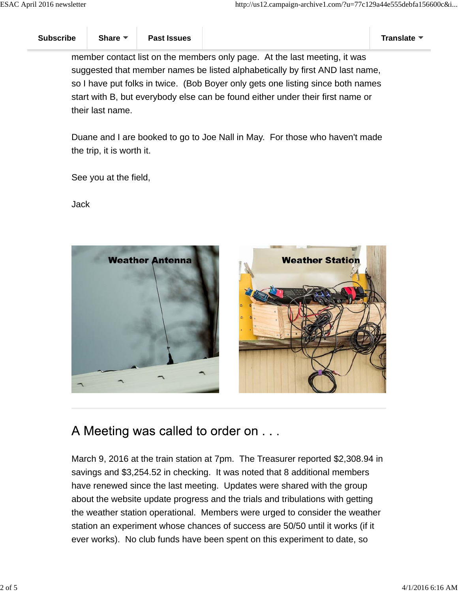member contact list on the members only page. At the last meeting, it was suggested that member names be listed alphabetically by first AND last name, so I have put folks in twice. (Bob Boyer only gets one listing since both names start with B, but everybody else can be found either under their first name or their last name.

Duane and I are booked to go to Joe Nall in May. For those who haven't made the trip, it is worth it.

See you at the field,

Jack



A Meeting was called to order on . . .

March 9, 2016 at the train station at 7pm. The Treasurer reported \$2,308.94 in savings and \$3,254.52 in checking. It was noted that 8 additional members have renewed since the last meeting. Updates were shared with the group about the website update progress and the trials and tribulations with getting the weather station operational. Members were urged to consider the weather station an experiment whose chances of success are 50/50 until it works (if it ever works). No club funds have been spent on this experiment to date, so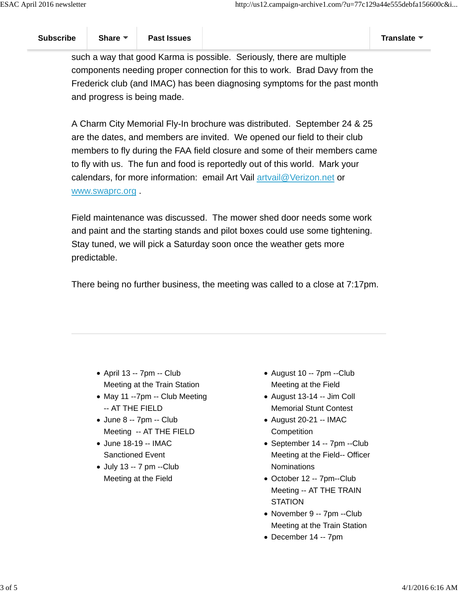such a way that good Karma is possible. Seriously, there are multiple components needing proper connection for this to work. Brad Davy from the Frederick club (and IMAC) has been diagnosing symptoms for the past month and progress is being made.

A Charm City Memorial Fly-In brochure was distributed. September 24 & 25 are the dates, and members are invited. We opened our field to their club members to fly during the FAA field closure and some of their members came to fly with us. The fun and food is reportedly out of this world. Mark your calendars, for more information: email Art Vail artvail@Verizon.net or www.swaprc.org .

Field maintenance was discussed. The mower shed door needs some work and paint and the starting stands and pilot boxes could use some tightening. Stay tuned, we will pick a Saturday soon once the weather gets more predictable.

There being no further business, the meeting was called to a close at 7:17pm.

- April 13 -- 7pm -- Club Meeting at the Train Station
- May 11 --7pm -- Club Meeting -- AT THE FIELD
- June 8 -- 7pm -- Club Meeting -- AT THE FIELD
- June 18-19 -- IMAC Sanctioned Event
- July 13 -- 7 pm --Club Meeting at the Field
- August 10 -- 7pm --Club Meeting at the Field
- August 13-14 -- Jim Coll Memorial Stunt Contest
- August 20-21 -- IMAC **Competition**
- September 14 -- 7pm --Club Meeting at the Field-- Officer **Nominations**
- October 12 -- 7pm--Club Meeting -- AT THE TRAIN **STATION**
- November 9 -- 7pm --Club Meeting at the Train Station
- December 14 -- 7pm